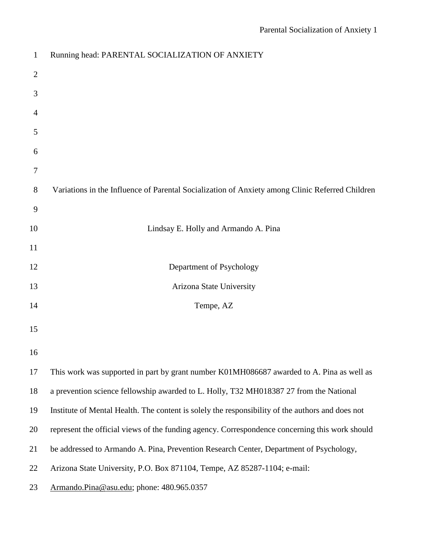| $\mathbf{1}$   | Running head: PARENTAL SOCIALIZATION OF ANXIETY                                                  |
|----------------|--------------------------------------------------------------------------------------------------|
| $\overline{c}$ |                                                                                                  |
| 3              |                                                                                                  |
| 4              |                                                                                                  |
| 5              |                                                                                                  |
| 6              |                                                                                                  |
| 7              |                                                                                                  |
| 8              | Variations in the Influence of Parental Socialization of Anxiety among Clinic Referred Children  |
| 9              |                                                                                                  |
| 10             | Lindsay E. Holly and Armando A. Pina                                                             |
| 11             |                                                                                                  |
| 12             | Department of Psychology                                                                         |
| 13             | Arizona State University                                                                         |
| 14             | Tempe, AZ                                                                                        |
| 15             |                                                                                                  |
| 16             |                                                                                                  |
| 17             | This work was supported in part by grant number K01MH086687 awarded to A. Pina as well as        |
| 18             | a prevention science fellowship awarded to L. Holly, T32 MH018387 27 from the National           |
| 19             | Institute of Mental Health. The content is solely the responsibility of the authors and does not |
| 20             | represent the official views of the funding agency. Correspondence concerning this work should   |
| 21             | be addressed to Armando A. Pina, Prevention Research Center, Department of Psychology,           |
| 22             | Arizona State University, P.O. Box 871104, Tempe, AZ 85287-1104; e-mail:                         |
| 23             | Armando.Pina@asu.edu; phone: 480.965.0357                                                        |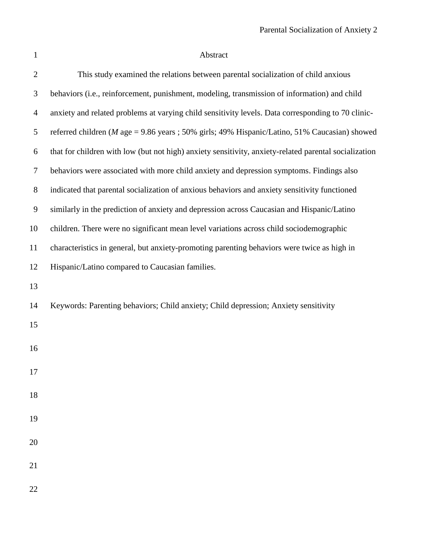| $\mathbf{1}$     | Abstract                                                                                              |
|------------------|-------------------------------------------------------------------------------------------------------|
| $\mathfrak{2}$   | This study examined the relations between parental socialization of child anxious                     |
| 3                | behaviors (i.e., reinforcement, punishment, modeling, transmission of information) and child          |
| $\overline{4}$   | anxiety and related problems at varying child sensitivity levels. Data corresponding to 70 clinic-    |
| 5                | referred children ( $M$ age = 9.86 years ; 50% girls; 49% Hispanic/Latino, 51% Caucasian) showed      |
| $\boldsymbol{6}$ | that for children with low (but not high) anxiety sensitivity, anxiety-related parental socialization |
| 7                | behaviors were associated with more child anxiety and depression symptoms. Findings also              |
| $8\,$            | indicated that parental socialization of anxious behaviors and anxiety sensitivity functioned         |
| $\mathbf{9}$     | similarly in the prediction of anxiety and depression across Caucasian and Hispanic/Latino            |
| 10               | children. There were no significant mean level variations across child sociodemographic               |
| 11               | characteristics in general, but anxiety-promoting parenting behaviors were twice as high in           |
| 12               | Hispanic/Latino compared to Caucasian families.                                                       |
| 13               |                                                                                                       |
| 14               | Keywords: Parenting behaviors; Child anxiety; Child depression; Anxiety sensitivity                   |
| 15               |                                                                                                       |
| 16               |                                                                                                       |
| 17               |                                                                                                       |
|                  |                                                                                                       |
| 18               |                                                                                                       |
| 19               |                                                                                                       |
| 20               |                                                                                                       |
| 21               |                                                                                                       |
| 22               |                                                                                                       |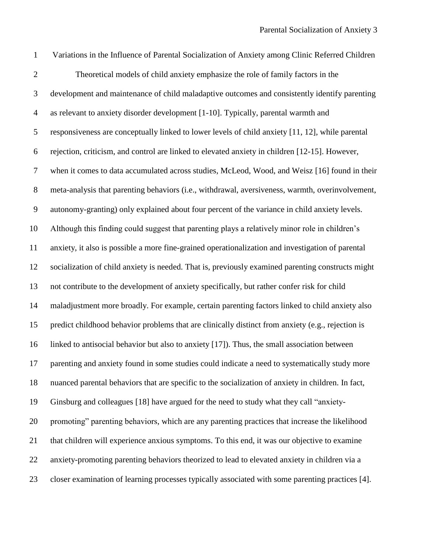| $\mathbf{1}$     | Variations in the Influence of Parental Socialization of Anxiety among Clinic Referred Children    |
|------------------|----------------------------------------------------------------------------------------------------|
| $\overline{2}$   | Theoretical models of child anxiety emphasize the role of family factors in the                    |
| 3                | development and maintenance of child maladaptive outcomes and consistently identify parenting      |
| $\overline{4}$   | as relevant to anxiety disorder development [1-10]. Typically, parental warmth and                 |
| 5                | responsiveness are conceptually linked to lower levels of child anxiety [11, 12], while parental   |
| 6                | rejection, criticism, and control are linked to elevated anxiety in children [12-15]. However,     |
| $\boldsymbol{7}$ | when it comes to data accumulated across studies, McLeod, Wood, and Weisz [16] found in their      |
| $8\,$            | meta-analysis that parenting behaviors (i.e., withdrawal, aversiveness, warmth, overinvolvement,   |
| 9                | autonomy-granting) only explained about four percent of the variance in child anxiety levels.      |
| 10               | Although this finding could suggest that parenting plays a relatively minor role in children's     |
| 11               | anxiety, it also is possible a more fine-grained operationalization and investigation of parental  |
| 12               | socialization of child anxiety is needed. That is, previously examined parenting constructs might  |
| 13               | not contribute to the development of anxiety specifically, but rather confer risk for child        |
| 14               | maladjustment more broadly. For example, certain parenting factors linked to child anxiety also    |
| 15               | predict childhood behavior problems that are clinically distinct from anxiety (e.g., rejection is  |
| 16               | linked to antisocial behavior but also to anxiety [17]). Thus, the small association between       |
| 17               | parenting and anxiety found in some studies could indicate a need to systematically study more     |
| 18               | nuanced parental behaviors that are specific to the socialization of anxiety in children. In fact, |
| 19               | Ginsburg and colleagues [18] have argued for the need to study what they call "anxiety-            |
| 20               | promoting" parenting behaviors, which are any parenting practices that increase the likelihood     |
| 21               | that children will experience anxious symptoms. To this end, it was our objective to examine       |
| 22               | anxiety-promoting parenting behaviors theorized to lead to elevated anxiety in children via a      |
| 23               | closer examination of learning processes typically associated with some parenting practices [4].   |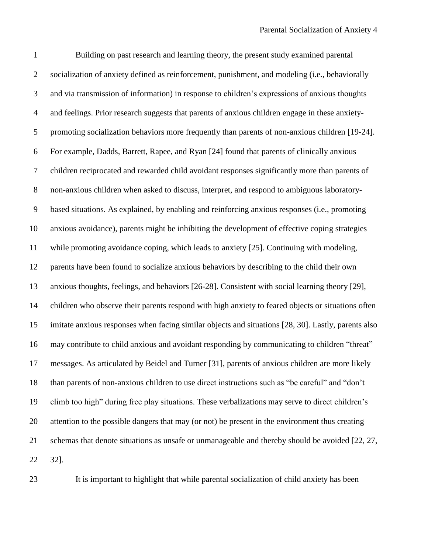Building on past research and learning theory, the present study examined parental socialization of anxiety defined as reinforcement, punishment, and modeling (i.e., behaviorally and via transmission of information) in response to children's expressions of anxious thoughts and feelings. Prior research suggests that parents of anxious children engage in these anxiety- promoting socialization behaviors more frequently than parents of non-anxious children [\[19-24\]](#page-21-1). For example, Dadds, Barrett, Rapee, and Ryan [\[24\]](#page-21-2) found that parents of clinically anxious children reciprocated and rewarded child avoidant responses significantly more than parents of non-anxious children when asked to discuss, interpret, and respond to ambiguous laboratory- based situations. As explained, by enabling and reinforcing anxious responses (i.e., promoting anxious avoidance), parents might be inhibiting the development of effective coping strategies while promoting avoidance coping, which leads to anxiety [\[25\]](#page-21-3). Continuing with modeling, parents have been found to socialize anxious behaviors by describing to the child their own anxious thoughts, feelings, and behaviors [\[26-28\]](#page-21-4). Consistent with social learning theory [\[29\]](#page-21-5), children who observe their parents respond with high anxiety to feared objects or situations often imitate anxious responses when facing similar objects and situations [\[28,](#page-21-6) [30\]](#page-21-7). Lastly, parents also may contribute to child anxious and avoidant responding by communicating to children "threat" messages. As articulated by Beidel and Turner [\[31\]](#page-21-8), parents of anxious children are more likely than parents of non-anxious children to use direct instructions such as "be careful" and "don't climb too high" during free play situations. These verbalizations may serve to direct children's attention to the possible dangers that may (or not) be present in the environment thus creating schemas that denote situations as unsafe or unmanageable and thereby should be avoided [\[22,](#page-21-9) [27,](#page-21-10) [32\]](#page-21-11).



It is important to highlight that while parental socialization of child anxiety has been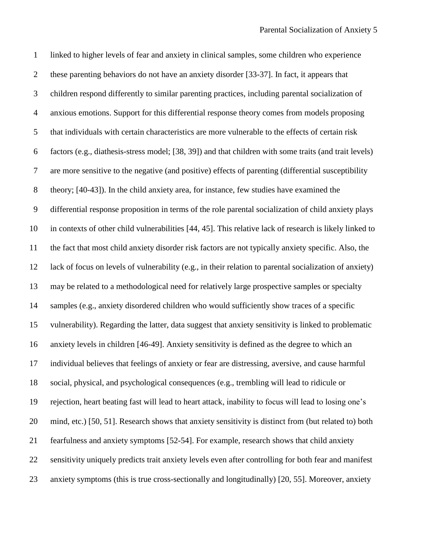linked to higher levels of fear and anxiety in clinical samples, some children who experience these parenting behaviors do not have an anxiety disorder [\[33-37\]](#page-21-12). In fact, it appears that children respond differently to similar parenting practices, including parental socialization of anxious emotions. Support for this differential response theory comes from models proposing that individuals with certain characteristics are more vulnerable to the effects of certain risk factors (e.g., diathesis-stress model; [\[38,](#page-22-0) [39\]](#page-22-1)) and that children with some traits (and trait levels) are more sensitive to the negative (and positive) effects of parenting (differential susceptibility theory; [\[40-43\]](#page-22-2)). In the child anxiety area, for instance, few studies have examined the differential response proposition in terms of the role parental socialization of child anxiety plays in contexts of other child vulnerabilities [\[44,](#page-22-3) [45\]](#page-22-4). This relative lack of research is likely linked to the fact that most child anxiety disorder risk factors are not typically anxiety specific. Also, the lack of focus on levels of vulnerability (e.g., in their relation to parental socialization of anxiety) may be related to a methodological need for relatively large prospective samples or specialty samples (e.g., anxiety disordered children who would sufficiently show traces of a specific vulnerability). Regarding the latter, data suggest that anxiety sensitivity is linked to problematic anxiety levels in children [\[46-49\]](#page-22-5). Anxiety sensitivity is defined as the degree to which an individual believes that feelings of anxiety or fear are distressing, aversive, and cause harmful social, physical, and psychological consequences (e.g., trembling will lead to ridicule or rejection, heart beating fast will lead to heart attack, inability to focus will lead to losing one's mind, etc.) [\[50,](#page-22-6) [51\]](#page-22-7). Research shows that anxiety sensitivity is distinct from (but related to) both fearfulness and anxiety symptoms [\[52-54\]](#page-22-8). For example, research shows that child anxiety sensitivity uniquely predicts trait anxiety levels even after controlling for both fear and manifest anxiety symptoms (this is true cross-sectionally and longitudinally) [\[20,](#page-21-13) [55\]](#page-23-0). Moreover, anxiety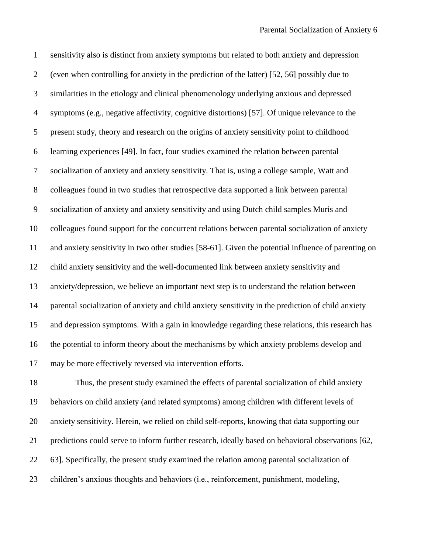sensitivity also is distinct from anxiety symptoms but related to both anxiety and depression (even when controlling for anxiety in the prediction of the latter) [\[52,](#page-22-8) [56\]](#page-23-1) possibly due to similarities in the etiology and clinical phenomenology underlying anxious and depressed symptoms (e.g., negative affectivity, cognitive distortions) [\[57\]](#page-23-2). Of unique relevance to the present study, theory and research on the origins of anxiety sensitivity point to childhood learning experiences [\[49\]](#page-22-9). In fact, four studies examined the relation between parental socialization of anxiety and anxiety sensitivity. That is, using a college sample, Watt and colleagues found in two studies that retrospective data supported a link between parental socialization of anxiety and anxiety sensitivity and using Dutch child samples Muris and colleagues found support for the concurrent relations between parental socialization of anxiety and anxiety sensitivity in two other studies [\[58-61\]](#page-23-3). Given the potential influence of parenting on child anxiety sensitivity and the well-documented link between anxiety sensitivity and anxiety/depression, we believe an important next step is to understand the relation between parental socialization of anxiety and child anxiety sensitivity in the prediction of child anxiety and depression symptoms. With a gain in knowledge regarding these relations, this research has the potential to inform theory about the mechanisms by which anxiety problems develop and may be more effectively reversed via intervention efforts.

 Thus, the present study examined the effects of parental socialization of child anxiety behaviors on child anxiety (and related symptoms) among children with different levels of anxiety sensitivity. Herein, we relied on child self-reports, knowing that data supporting our predictions could serve to inform further research, ideally based on behavioral observations [\[62,](#page-23-4) [63\]](#page-23-5). Specifically, the present study examined the relation among parental socialization of children's anxious thoughts and behaviors (i.e., reinforcement, punishment, modeling,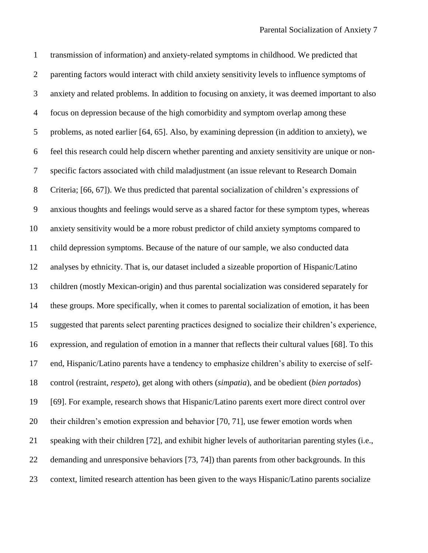transmission of information) and anxiety-related symptoms in childhood. We predicted that parenting factors would interact with child anxiety sensitivity levels to influence symptoms of anxiety and related problems. In addition to focusing on anxiety, it was deemed important to also focus on depression because of the high comorbidity and symptom overlap among these problems, as noted earlier [\[64,](#page-23-6) [65\]](#page-23-7). Also, by examining depression (in addition to anxiety), we feel this research could help discern whether parenting and anxiety sensitivity are unique or non- specific factors associated with child maladjustment (an issue relevant to Research Domain Criteria; [\[66,](#page-23-8) [67\]](#page-23-9)). We thus predicted that parental socialization of children's expressions of anxious thoughts and feelings would serve as a shared factor for these symptom types, whereas anxiety sensitivity would be a more robust predictor of child anxiety symptoms compared to child depression symptoms. Because of the nature of our sample, we also conducted data analyses by ethnicity. That is, our dataset included a sizeable proportion of Hispanic/Latino children (mostly Mexican-origin) and thus parental socialization was considered separately for these groups. More specifically, when it comes to parental socialization of emotion, it has been suggested that parents select parenting practices designed to socialize their children's experience, expression, and regulation of emotion in a manner that reflects their cultural values [\[68\]](#page-23-10). To this end, Hispanic/Latino parents have a tendency to emphasize children's ability to exercise of self- control (restraint, *respeto*), get along with others (*simpatia*), and be obedient (*bien portados*) [\[69\]](#page-23-11). For example, research shows that Hispanic/Latino parents exert more direct control over their children's emotion expression and behavior [\[70,](#page-23-12) [71\]](#page-23-13), use fewer emotion words when speaking with their children [\[72\]](#page-23-14), and exhibit higher levels of authoritarian parenting styles (i.e., demanding and unresponsive behaviors [\[73,](#page-24-0) [74\]](#page-24-1)) than parents from other backgrounds. In this context, limited research attention has been given to the ways Hispanic/Latino parents socialize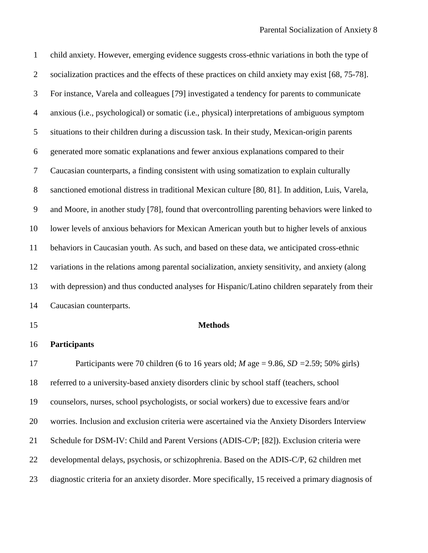child anxiety. However, emerging evidence suggests cross-ethnic variations in both the type of socialization practices and the effects of these practices on child anxiety may exist [\[68,](#page-23-10) [75-78\]](#page-24-2). For instance, Varela and colleagues [\[79\]](#page-24-3) investigated a tendency for parents to communicate anxious (i.e., psychological) or somatic (i.e., physical) interpretations of ambiguous symptom situations to their children during a discussion task. In their study, Mexican-origin parents generated more somatic explanations and fewer anxious explanations compared to their Caucasian counterparts, a finding consistent with using somatization to explain culturally sanctioned emotional distress in traditional Mexican culture [\[80,](#page-24-4) [81\]](#page-24-5). In addition, Luis, Varela, and Moore, in another study [\[78\]](#page-24-6), found that overcontrolling parenting behaviors were linked to lower levels of anxious behaviors for Mexican American youth but to higher levels of anxious behaviors in Caucasian youth. As such, and based on these data, we anticipated cross-ethnic variations in the relations among parental socialization, anxiety sensitivity, and anxiety (along with depression) and thus conducted analyses for Hispanic/Latino children separately from their Caucasian counterparts.

## **Methods**

## **Participants**

 Participants were 70 children (6 to 16 years old; *M* age = 9.86, *SD =*2.59; 50% girls) referred to a university-based anxiety disorders clinic by school staff (teachers, school counselors, nurses, school psychologists, or social workers) due to excessive fears and/or worries. Inclusion and exclusion criteria were ascertained via the Anxiety Disorders Interview Schedule for DSM-IV: Child and Parent Versions (ADIS-C/P; [\[82\]](#page-24-7)). Exclusion criteria were developmental delays, psychosis, or schizophrenia. Based on the ADIS-C/P, 62 children met diagnostic criteria for an anxiety disorder. More specifically, 15 received a primary diagnosis of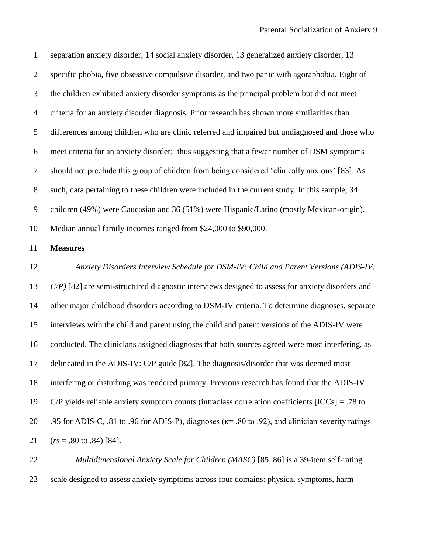separation anxiety disorder, 14 social anxiety disorder, 13 generalized anxiety disorder, 13 specific phobia, five obsessive compulsive disorder, and two panic with agoraphobia. Eight of the children exhibited anxiety disorder symptoms as the principal problem but did not meet criteria for an anxiety disorder diagnosis. Prior research has shown more similarities than differences among children who are clinic referred and impaired but undiagnosed and those who meet criteria for an anxiety disorder; thus suggesting that a fewer number of DSM symptoms should not preclude this group of children from being considered 'clinically anxious' [\[83\]](#page-24-8). As such, data pertaining to these children were included in the current study. In this sample, 34 children (49%) were Caucasian and 36 (51%) were Hispanic/Latino (mostly Mexican-origin). Median annual family incomes ranged from \$24,000 to \$90,000. **Measures** *Anxiety Disorders Interview Schedule for DSM-IV: Child and Parent Versions (ADIS-IV: C/P)* [\[82\]](#page-24-7) are semi-structured diagnostic interviews designed to assess for anxiety disorders and other major childhood disorders according to DSM-IV criteria. To determine diagnoses, separate interviews with the child and parent using the child and parent versions of the ADIS-IV were conducted. The clinicians assigned diagnoses that both sources agreed were most interfering, as delineated in the ADIS-IV: C/P guide [\[82\]](#page-24-7). The diagnosis/disorder that was deemed most interfering or disturbing was rendered primary. Previous research has found that the ADIS-IV: 19 C/P yields reliable anxiety symptom counts (intraclass correlation coefficients  $[ICCs] = .78$  to 20 .95 for ADIS-C, .81 to .96 for ADIS-P), diagnoses ( $\kappa$  = .80 to .92), and clinician severity ratings (*r*s = .80 to .84) [\[84\]](#page-24-9).

 *Multidimensional Anxiety Scale for Children (MASC)* [\[85,](#page-24-10) [86\]](#page-24-11) is a 39-item self-rating scale designed to assess anxiety symptoms across four domains: physical symptoms, harm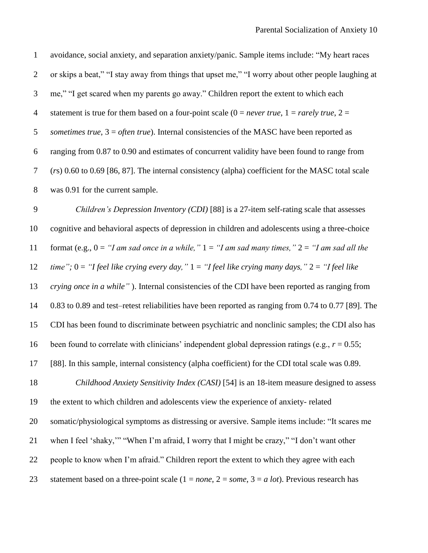| $\mathbf{1}$   | avoidance, social anxiety, and separation anxiety/panic. Sample items include: "My heart races               |
|----------------|--------------------------------------------------------------------------------------------------------------|
| $\mathbf{2}$   | or skips a beat," "I stay away from things that upset me," "I worry about other people laughing at           |
| 3              | me," "I get scared when my parents go away." Children report the extent to which each                        |
| $\overline{4}$ | statement is true for them based on a four-point scale (0 = <i>never true</i> , 1 = <i>rarely true</i> , 2 = |
| 5              | sometimes true, $3 =$ often true). Internal consistencies of the MASC have been reported as                  |
| 6              | ranging from 0.87 to 0.90 and estimates of concurrent validity have been found to range from                 |
| $\overline{7}$ | $(rs)$ 0.60 to 0.69 [86, 87]. The internal consistency (alpha) coefficient for the MASC total scale          |
| $8\,$          | was 0.91 for the current sample.                                                                             |
| $\overline{9}$ | Children's Depression Inventory (CDI) [88] is a 27-item self-rating scale that assesses                      |
| 10             | cognitive and behavioral aspects of depression in children and adolescents using a three-choice              |
| 11             | format (e.g., $0 = "I$ am sad once in a while," $1 = "I$ am sad many times," $2 = "I$ am sad all the         |
| 12             | time"; $0 =$ "I feel like crying every day," $1 =$ "I feel like crying many days," $2 =$ "I feel like        |
| 13             | crying once in a while"). Internal consistencies of the CDI have been reported as ranging from               |
| 14             | 0.83 to 0.89 and test–retest reliabilities have been reported as ranging from 0.74 to 0.77 [89]. The         |
| 15             | CDI has been found to discriminate between psychiatric and nonclinic samples; the CDI also has               |
| 16             | been found to correlate with clinicians' independent global depression ratings (e.g., $r = 0.55$ ;           |
| 17             | [88]. In this sample, internal consistency (alpha coefficient) for the CDI total scale was 0.89.             |
| 18             | Childhood Anxiety Sensitivity Index (CASI) [54] is an 18-item measure designed to assess                     |
| 19             | the extent to which children and adolescents view the experience of anxiety-related                          |
| 20             | somatic/physiological symptoms as distressing or aversive. Sample items include: "It scares me               |
| 21             | when I feel 'shaky,'" "When I'm afraid, I worry that I might be crazy," "I don't want other                  |
| 22             | people to know when I'm afraid." Children report the extent to which they agree with each                    |
| 23             | statement based on a three-point scale ( $1 = none$ , $2 = some$ , $3 = a lot$ ). Previous research has      |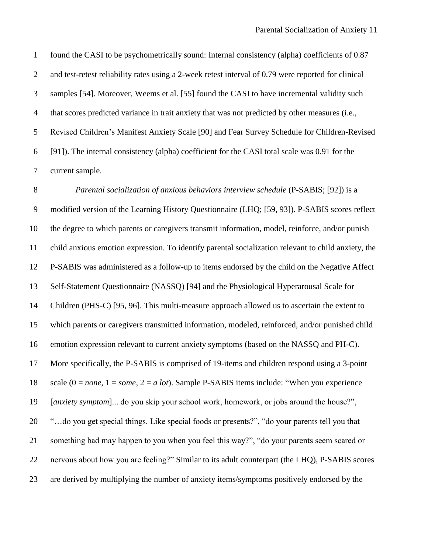found the CASI to be psychometrically sound: Internal consistency (alpha) coefficients of 0.87 and test-retest reliability rates using a 2-week retest interval of 0.79 were reported for clinical samples [\[54\]](#page-22-10). Moreover, Weems et al. [\[55\]](#page-23-0) found the CASI to have incremental validity such that scores predicted variance in trait anxiety that was not predicted by other measures (i.e., Revised Children's Manifest Anxiety Scale [\[90\]](#page-24-15) and Fear Survey Schedule for Children-Revised [\[91\]](#page-25-0)). The internal consistency (alpha) coefficient for the CASI total scale was 0.91 for the current sample.

*Parental socialization of anxious behaviors interview schedule* (P-SABIS; [\[92\]](#page-25-1)) is a modified version of the Learning History Questionnaire (LHQ; [\[59,](#page-23-15) [93\]](#page-25-2)). P-SABIS scores reflect the degree to which parents or caregivers transmit information, model, reinforce, and/or punish child anxious emotion expression. To identify parental socialization relevant to child anxiety, the P-SABIS was administered as a follow-up to items endorsed by the child on the Negative Affect Self-Statement Questionnaire (NASSQ) [\[94\]](#page-25-3) and the Physiological Hyperarousal Scale for Children (PHS-C) [\[95,](#page-25-4) [96\]](#page-25-5). This multi-measure approach allowed us to ascertain the extent to which parents or caregivers transmitted information, modeled, reinforced, and/or punished child emotion expression relevant to current anxiety symptoms (based on the NASSQ and PH-C). More specifically, the P-SABIS is comprised of 19-items and children respond using a 3-point scale (0 = *none*, 1 = *some*, 2 = *a lot*). Sample P-SABIS items include: "When you experience [*anxiety symptom*]... do you skip your school work, homework, or jobs around the house?", "…do you get special things. Like special foods or presents?", "do your parents tell you that something bad may happen to you when you feel this way?", "do your parents seem scared or nervous about how you are feeling?" Similar to its adult counterpart (the LHQ), P-SABIS scores are derived by multiplying the number of anxiety items/symptoms positively endorsed by the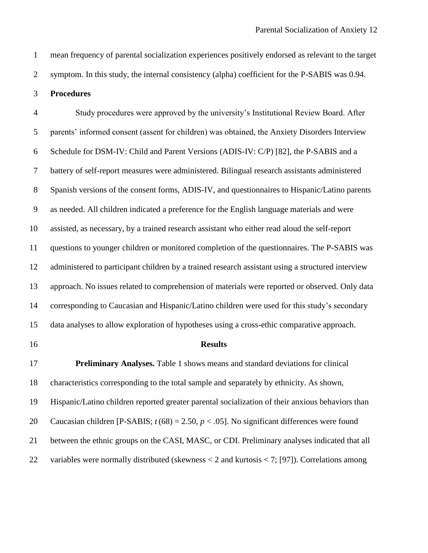mean frequency of parental socialization experiences positively endorsed as relevant to the target

symptom. In this study, the internal consistency (alpha) coefficient for the P-SABIS was 0.94.

## **Procedures**

 Study procedures were approved by the university's Institutional Review Board. After parents' informed consent (assent for children) was obtained, the Anxiety Disorders Interview Schedule for DSM-IV: Child and Parent Versions (ADIS-IV: C/P) [\[82\]](#page-24-7), the P-SABIS and a battery of self-report measures were administered. Bilingual research assistants administered Spanish versions of the consent forms, ADIS-IV, and questionnaires to Hispanic/Latino parents as needed. All children indicated a preference for the English language materials and were assisted, as necessary, by a trained research assistant who either read aloud the self-report questions to younger children or monitored completion of the questionnaires. The P-SABIS was administered to participant children by a trained research assistant using a structured interview approach. No issues related to comprehension of materials were reported or observed. Only data corresponding to Caucasian and Hispanic/Latino children were used for this study's secondary data analyses to allow exploration of hypotheses using a cross-ethic comparative approach.

## **Results**

 **Preliminary Analyses.** Table 1 shows means and standard deviations for clinical characteristics corresponding to the total sample and separately by ethnicity. As shown, Hispanic/Latino children reported greater parental socialization of their anxious behaviors than Caucasian children [P-SABIS; *t* (68) = 2.50, *p* < .05]. No significant differences were found between the ethnic groups on the CASI, MASC, or CDI. Preliminary analyses indicated that all variables were normally distributed (skewness < 2 and kurtosis < 7; [\[97\]](#page-25-6)). Correlations among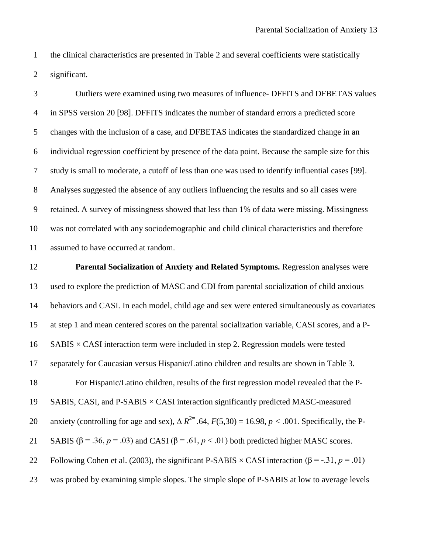the clinical characteristics are presented in Table 2 and several coefficients were statistically significant.

 Outliers were examined using two measures of influence- DFFITS and DFBETAS values in SPSS version 20 [\[98\]](#page-25-7). DFFITS indicates the number of standard errors a predicted score changes with the inclusion of a case, and DFBETAS indicates the standardized change in an individual regression coefficient by presence of the data point. Because the sample size for this study is small to moderate, a cutoff of less than one was used to identify influential cases [\[99\]](#page-25-8). Analyses suggested the absence of any outliers influencing the results and so all cases were retained. A survey of missingness showed that less than 1% of data were missing. Missingness was not correlated with any sociodemographic and child clinical characteristics and therefore assumed to have occurred at random.

 **Parental Socialization of Anxiety and Related Symptoms.** Regression analyses were used to explore the prediction of MASC and CDI from parental socialization of child anxious behaviors and CASI. In each model, child age and sex were entered simultaneously as covariates at step 1 and mean centered scores on the parental socialization variable, CASI scores, and a P- SABIS  $\times$  CASI interaction term were included in step 2. Regression models were tested separately for Caucasian versus Hispanic/Latino children and results are shown in Table 3. For Hispanic/Latino children, results of the first regression model revealed that the P-19 SABIS, CASI, and  $P-SABIS \times CASI$  interaction significantly predicted MASC-measured anxiety (controlling for age and sex),  $\Delta R^{2}$  .64,  $F(5,30) = 16.98$ ,  $p < .001$ . Specifically, the P-21 SABIS ( $\beta$  = .36, *p* = .03) and CASI ( $\beta$  = .61, *p* < .01) both predicted higher MASC scores. 22 Following Cohen et al. (2003), the significant P-SABIS  $\times$  CASI interaction ( $\beta$  = -.31,  $p$  = .01) was probed by examining simple slopes. The simple slope of P-SABIS at low to average levels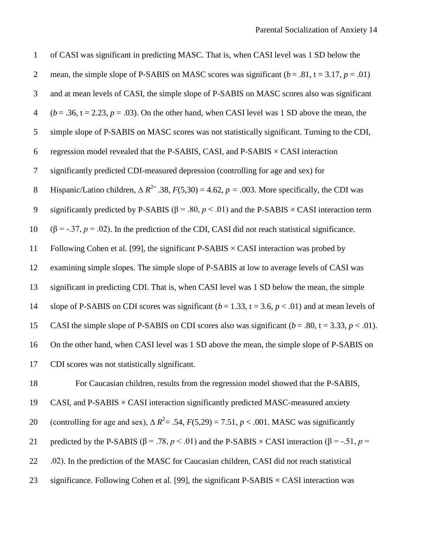| $\mathbf{1}$   | of CASI was significant in predicting MASC. That is, when CASI level was 1 SD below the                                |
|----------------|------------------------------------------------------------------------------------------------------------------------|
| $\overline{2}$ | mean, the simple slope of P-SABIS on MASC scores was significant ( $b = .81$ , $t = 3.17$ , $p = .01$ )                |
| 3              | and at mean levels of CASI, the simple slope of P-SABIS on MASC scores also was significant                            |
| $\overline{4}$ | $(b = .36, t = 2.23, p = .03)$ . On the other hand, when CASI level was 1 SD above the mean, the                       |
| 5              | simple slope of P-SABIS on MASC scores was not statistically significant. Turning to the CDI,                          |
| 6              | regression model revealed that the P-SABIS, CASI, and P-SABIS $\times$ CASI interaction                                |
| 7              | significantly predicted CDI-measured depression (controlling for age and sex) for                                      |
| $8\,$          | Hispanic/Latino children, $\Delta R^{2}$ .38, $F(5,30) = 4.62$ , $p = .003$ . More specifically, the CDI was           |
| 9              | significantly predicted by P-SABIS ( $\beta$ = .80, $p$ < .01) and the P-SABIS $\times$ CASI interaction term          |
| 10             | $(\beta = -0.37, p = 0.02)$ . In the prediction of the CDI, CASI did not reach statistical significance.               |
| 11             | Following Cohen et al. [99], the significant $P-SABIS \times CASI$ interaction was probed by                           |
| 12             | examining simple slopes. The simple slope of P-SABIS at low to average levels of CASI was                              |
| 13             | significant in predicting CDI. That is, when CASI level was 1 SD below the mean, the simple                            |
| 14             | slope of P-SABIS on CDI scores was significant ( $b = 1.33$ , $t = 3.6$ , $p < .01$ ) and at mean levels of            |
| 15             | CASI the simple slope of P-SABIS on CDI scores also was significant ( $b = .80$ , $t = 3.33$ , $p < .01$ ).            |
| 16             | On the other hand, when CASI level was 1 SD above the mean, the simple slope of P-SABIS on                             |
| 17             | CDI scores was not statistically significant.                                                                          |
| 18             | For Caucasian children, results from the regression model showed that the P-SABIS,                                     |
| 19             | CASI, and P-SABIS $\times$ CASI interaction significantly predicted MASC-measured anxiety                              |
| 20             | (controlling for age and sex), $\Delta R^2$ = .54, $F(5,29)$ = 7.51, $p < .001$ . MASC was significantly               |
| 21             | predicted by the P-SABIS ( $\beta$ = .78, $p$ < .01) and the P-SABIS $\times$ CASI interaction ( $\beta$ = -.51, $p$ = |
| 22             | .02). In the prediction of the MASC for Caucasian children, CASI did not reach statistical                             |

23 significance. Following Cohen et al. [\[99\]](#page-25-8), the significant  $P-SABIS \times CASI$  interaction was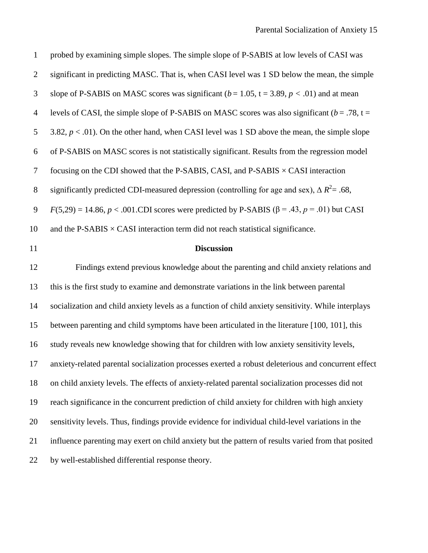| $\mathbf{1}$   | probed by examining simple slopes. The simple slope of P-SABIS at low levels of CASI was                    |
|----------------|-------------------------------------------------------------------------------------------------------------|
| $\mathfrak{2}$ | significant in predicting MASC. That is, when CASI level was 1 SD below the mean, the simple                |
| 3              | slope of P-SABIS on MASC scores was significant ( $b = 1.05$ , $t = 3.89$ , $p < .01$ ) and at mean         |
| $\overline{4}$ | levels of CASI, the simple slope of P-SABIS on MASC scores was also significant ( $b = .78$ , t =           |
| 5              | 3.82, $p < .01$ ). On the other hand, when CASI level was 1 SD above the mean, the simple slope             |
| 6              | of P-SABIS on MASC scores is not statistically significant. Results from the regression model               |
| $\overline{7}$ | focusing on the CDI showed that the P-SABIS, CASI, and P-SABIS $\times$ CASI interaction                    |
| $8\,$          | significantly predicted CDI-measured depression (controlling for age and sex), $\Delta R^2$ = .68,          |
| $\mathbf{9}$   | $F(5,29) = 14.86$ , $p < .001$ .CDI scores were predicted by P-SABIS ( $\beta = .43$ , $p = .01$ ) but CASI |
| 10             | and the P-SABIS $\times$ CASI interaction term did not reach statistical significance.                      |
| 11             | <b>Discussion</b>                                                                                           |
| 12             | Findings extend previous knowledge about the parenting and child anxiety relations and                      |
| 13             | this is the first study to examine and demonstrate variations in the link between parental                  |
| 14             | socialization and child anxiety levels as a function of child anxiety sensitivity. While interplays         |
| 15             | between parenting and child symptoms have been articulated in the literature [100, 101], this               |
| 16             | study reveals new knowledge showing that for children with low anxiety sensitivity levels,                  |
| 17             |                                                                                                             |
|                | anxiety-related parental socialization processes exerted a robust deleterious and concurrent effect         |
| 18             | on child anxiety levels. The effects of anxiety-related parental socialization processes did not            |
| 19             | reach significance in the concurrent prediction of child anxiety for children with high anxiety             |
| 20             | sensitivity levels. Thus, findings provide evidence for individual child-level variations in the            |
| 21             | influence parenting may exert on child anxiety but the pattern of results varied from that posited          |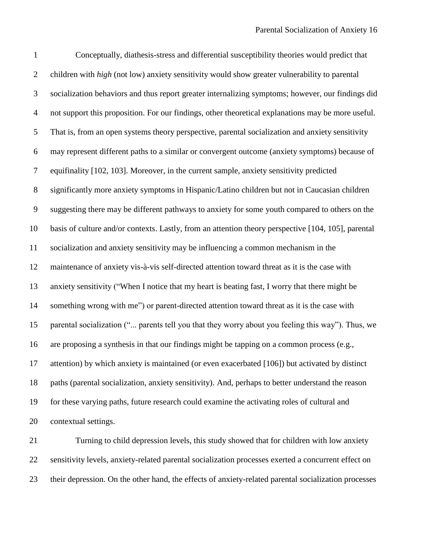Conceptually, diathesis-stress and differential susceptibility theories would predict that children with *high* (not low) anxiety sensitivity would show greater vulnerability to parental socialization behaviors and thus report greater internalizing symptoms; however, our findings did not support this proposition. For our findings, other theoretical explanations may be more useful. That is, from an open systems theory perspective, parental socialization and anxiety sensitivity may represent different paths to a similar or convergent outcome (anxiety symptoms) because of equifinality [\[102,](#page-25-11) [103\]](#page-25-12). Moreover, in the current sample, anxiety sensitivity predicted significantly more anxiety symptoms in Hispanic/Latino children but not in Caucasian children suggesting there may be different pathways to anxiety for some youth compared to others on the basis of culture and/or contexts. Lastly, from an attention theory perspective [\[104,](#page-25-13) [105\]](#page-25-14), parental socialization and anxiety sensitivity may be influencing a common mechanism in the maintenance of anxiety vis-à-vis self-directed attention toward threat as it is the case with anxiety sensitivity ("When I notice that my heart is beating fast, I worry that there might be something wrong with me") or parent-directed attention toward threat as it is the case with parental socialization ("... parents tell you that they worry about you feeling this way"). Thus, we are proposing a synthesis in that our findings might be tapping on a common process (e.g., attention) by which anxiety is maintained (or even exacerbated [\[106\]](#page-25-15)) but activated by distinct paths (parental socialization, anxiety sensitivity). And, perhaps to better understand the reason for these varying paths, future research could examine the activating roles of cultural and contextual settings.

 Turning to child depression levels, this study showed that for children with low anxiety sensitivity levels, anxiety-related parental socialization processes exerted a concurrent effect on their depression. On the other hand, the effects of anxiety-related parental socialization processes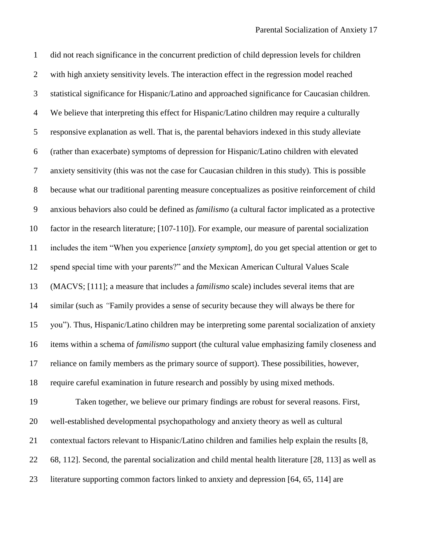did not reach significance in the concurrent prediction of child depression levels for children with high anxiety sensitivity levels. The interaction effect in the regression model reached statistical significance for Hispanic/Latino and approached significance for Caucasian children. We believe that interpreting this effect for Hispanic/Latino children may require a culturally responsive explanation as well. That is, the parental behaviors indexed in this study alleviate (rather than exacerbate) symptoms of depression for Hispanic/Latino children with elevated anxiety sensitivity (this was not the case for Caucasian children in this study). This is possible because what our traditional parenting measure conceptualizes as positive reinforcement of child anxious behaviors also could be defined as *familismo* (a cultural factor implicated as a protective factor in the research literature; [\[107-110\]](#page-25-16)). For example, our measure of parental socialization includes the item "When you experience [*anxiety symptom*], do you get special attention or get to spend special time with your parents?" and the Mexican American Cultural Values Scale (MACVS; [\[111\]](#page-25-17); a measure that includes a *familismo* scale) includes several items that are similar (such as *"*Family provides a sense of security because they will always be there for you"). Thus, Hispanic/Latino children may be interpreting some parental socialization of anxiety items within a schema of *familismo* support (the cultural value emphasizing family closeness and reliance on family members as the primary source of support). These possibilities, however, require careful examination in future research and possibly by using mixed methods. Taken together, we believe our primary findings are robust for several reasons. First, well-established developmental psychopathology and anxiety theory as well as cultural contextual factors relevant to Hispanic/Latino children and families help explain the results [\[8,](#page-20-6) [68,](#page-23-10) [112\]](#page-25-18). Second, the parental socialization and child mental health literature [\[28,](#page-21-6) [113\]](#page-26-0) as well as 23 literature supporting common factors linked to anxiety and depression [\[64,](#page-23-6) [65,](#page-23-7) [114\]](#page-26-1) are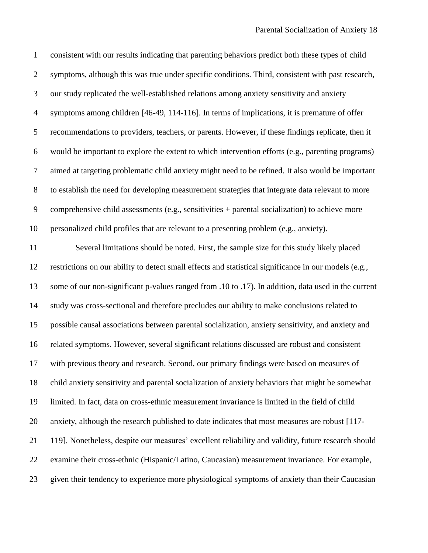| $\mathbf{1}$   | consistent with our results indicating that parenting behaviors predict both these types of child     |
|----------------|-------------------------------------------------------------------------------------------------------|
| $\overline{2}$ | symptoms, although this was true under specific conditions. Third, consistent with past research,     |
| 3              | our study replicated the well-established relations among anxiety sensitivity and anxiety             |
| $\overline{4}$ | symptoms among children [46-49, 114-116]. In terms of implications, it is premature of offer          |
| 5              | recommendations to providers, teachers, or parents. However, if these findings replicate, then it     |
| 6              | would be important to explore the extent to which intervention efforts (e.g., parenting programs)     |
| $\overline{7}$ | aimed at targeting problematic child anxiety might need to be refined. It also would be important     |
| $8\,$          | to establish the need for developing measurement strategies that integrate data relevant to more      |
| 9              | comprehensive child assessments (e.g., sensitivities + parental socialization) to achieve more        |
| 10             | personalized child profiles that are relevant to a presenting problem (e.g., anxiety).                |
| 11             | Several limitations should be noted. First, the sample size for this study likely placed              |
| 12             | restrictions on our ability to detect small effects and statistical significance in our models (e.g., |
| 13             | some of our non-significant p-values ranged from .10 to .17). In addition, data used in the current   |
| 14             | study was cross-sectional and therefore precludes our ability to make conclusions related to          |
| 15             | possible causal associations between parental socialization, anxiety sensitivity, and anxiety and     |
| 16             | related symptoms. However, several significant relations discussed are robust and consistent          |
| 17             | with previous theory and research. Second, our primary findings were based on measures of             |
| 18             | child anxiety sensitivity and parental socialization of anxiety behaviors that might be somewhat      |
| 19             | limited. In fact, data on cross-ethnic measurement invariance is limited in the field of child        |
| 20             | anxiety, although the research published to date indicates that most measures are robust [117-        |
| 21             | 119]. Nonetheless, despite our measures' excellent reliability and validity, future research should   |
| 22             | examine their cross-ethnic (Hispanic/Latino, Caucasian) measurement invariance. For example,          |
| 23             | given their tendency to experience more physiological symptoms of anxiety than their Caucasian        |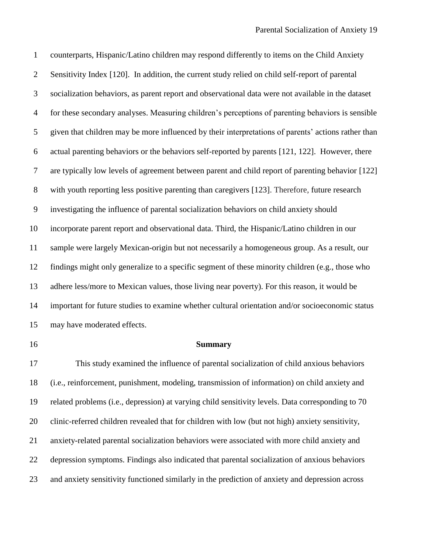counterparts, Hispanic/Latino children may respond differently to items on the Child Anxiety Sensitivity Index [\[120\]](#page-26-3). In addition, the current study relied on child self-report of parental socialization behaviors, as parent report and observational data were not available in the dataset for these secondary analyses. Measuring children's perceptions of parenting behaviors is sensible given that children may be more influenced by their interpretations of parents' actions rather than actual parenting behaviors or the behaviors self-reported by parents [\[121,](#page-26-4) [122\]](#page-26-5). However, there are typically low levels of agreement between parent and child report of parenting behavior [\[122\]](#page-26-5) with youth reporting less positive parenting than caregivers [\[123\]](#page-26-6). Therefore, future research investigating the influence of parental socialization behaviors on child anxiety should incorporate parent report and observational data. Third, the Hispanic/Latino children in our sample were largely Mexican-origin but not necessarily a homogeneous group. As a result, our findings might only generalize to a specific segment of these minority children (e.g., those who adhere less/more to Mexican values, those living near poverty). For this reason, it would be important for future studies to examine whether cultural orientation and/or socioeconomic status may have moderated effects.

#### **Summary**

 This study examined the influence of parental socialization of child anxious behaviors (i.e., reinforcement, punishment, modeling, transmission of information) on child anxiety and related problems (i.e., depression) at varying child sensitivity levels. Data corresponding to 70 clinic-referred children revealed that for children with low (but not high) anxiety sensitivity, anxiety-related parental socialization behaviors were associated with more child anxiety and depression symptoms. Findings also indicated that parental socialization of anxious behaviors and anxiety sensitivity functioned similarly in the prediction of anxiety and depression across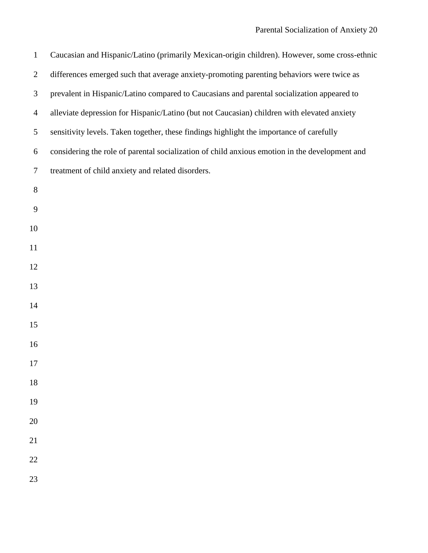| $\mathbf{1}$   | Caucasian and Hispanic/Latino (primarily Mexican-origin children). However, some cross-ethnic  |
|----------------|------------------------------------------------------------------------------------------------|
| $\mathfrak{2}$ | differences emerged such that average anxiety-promoting parenting behaviors were twice as      |
| 3              | prevalent in Hispanic/Latino compared to Caucasians and parental socialization appeared to     |
| $\overline{4}$ | alleviate depression for Hispanic/Latino (but not Caucasian) children with elevated anxiety    |
| 5              | sensitivity levels. Taken together, these findings highlight the importance of carefully       |
| 6              | considering the role of parental socialization of child anxious emotion in the development and |
| $\tau$         | treatment of child anxiety and related disorders.                                              |
| 8              |                                                                                                |
| 9              |                                                                                                |
| 10             |                                                                                                |
| 11             |                                                                                                |
| 12             |                                                                                                |
| 13             |                                                                                                |
| 14             |                                                                                                |
| 15             |                                                                                                |
| 16             |                                                                                                |
| 17             |                                                                                                |
| 18             |                                                                                                |
| 19             |                                                                                                |
| 20             |                                                                                                |
| 21             |                                                                                                |
| $22\,$         |                                                                                                |
| 23             |                                                                                                |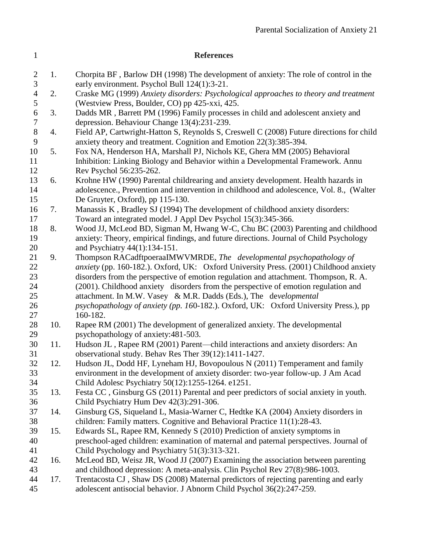<span id="page-20-6"></span><span id="page-20-5"></span><span id="page-20-4"></span><span id="page-20-3"></span><span id="page-20-2"></span><span id="page-20-1"></span><span id="page-20-0"></span>

| $\mathbf{1}$                 |     | <b>References</b>                                                                                                                                                                                                                              |
|------------------------------|-----|------------------------------------------------------------------------------------------------------------------------------------------------------------------------------------------------------------------------------------------------|
| $\overline{2}$<br>3          | 1.  | Chorpita BF, Barlow DH (1998) The development of anxiety: The role of control in the<br>early environment. Psychol Bull 124(1):3-21.                                                                                                           |
| $\overline{4}$<br>5          | 2.  | Craske MG (1999) Anxiety disorders: Psychological approaches to theory and treatment<br>(Westview Press, Boulder, CO) pp 425-xxi, 425.                                                                                                         |
| $\sqrt{6}$<br>$\overline{7}$ | 3.  | Dadds MR, Barrett PM (1996) Family processes in child and adolescent anxiety and<br>depression. Behaviour Change 13(4):231-239.                                                                                                                |
| $8\,$<br>9                   | 4.  | Field AP, Cartwright-Hatton S, Reynolds S, Creswell C (2008) Future directions for child<br>anxiety theory and treatment. Cognition and Emotion 22(3):385-394.                                                                                 |
| 10<br>11                     | 5.  | Fox NA, Henderson HA, Marshall PJ, Nichols KE, Ghera MM (2005) Behavioral<br>Inhibition: Linking Biology and Behavior within a Developmental Framework. Annu                                                                                   |
| 12<br>13<br>14<br>15         | 6.  | Rev Psychol 56:235-262.<br>Krohne HW (1990) Parental childrearing and anxiety development. Health hazards in<br>adolescence., Prevention and intervention in childhood and adolescence, Vol. 8., (Walter<br>De Gruyter, Oxford), pp 115-130.   |
| 16<br>17                     | 7.  | Manassis K, Bradley SJ (1994) The development of childhood anxiety disorders:<br>Toward an integrated model. J Appl Dev Psychol 15(3):345-366.                                                                                                 |
| 18<br>19<br>20               | 8.  | Wood JJ, McLeod BD, Sigman M, Hwang W-C, Chu BC (2003) Parenting and childhood<br>anxiety: Theory, empirical findings, and future directions. Journal of Child Psychology                                                                      |
| 21<br>22                     | 9.  | and Psychiatry 44(1):134-151.<br>Thompson RACadftpoeraaIMWVMRDE, The developmental psychopathology of<br>anxiety (pp. 160-182.). Oxford, UK: Oxford University Press. (2001) Childhood anxiety                                                 |
| 23<br>24<br>25               |     | disorders from the perspective of emotion regulation and attachment. Thompson, R. A.<br>(2001). Childhood anxiety disorders from the perspective of emotion regulation and<br>attachment. In M.W. Vasey & M.R. Dadds (Eds.), The developmental |
| 26<br>27                     |     | psychopathology of anxiety (pp. 160-182.). Oxford, UK: Oxford University Press.), pp<br>160-182.                                                                                                                                               |
| 28<br>29                     | 10. | Rapee RM (2001) The development of generalized anxiety. The developmental<br>psychopathology of anxiety:481-503.                                                                                                                               |
| 30<br>31                     | 11. | Hudson JL, Rapee RM (2001) Parent—child interactions and anxiety disorders: An<br>observational study. Behav Res Ther 39(12):1411-1427.                                                                                                        |
| $32\,$<br>33<br>34           | 12. | Hudson JL, Dodd HF, Lyneham HJ, Bovopoulous N (2011) Temperament and family<br>environment in the development of anxiety disorder: two-year follow-up. J Am Acad<br>Child Adolesc Psychiatry 50(12):1255-1264. e1251.                          |
| 35<br>36                     | 13. | Festa CC, Ginsburg GS (2011) Parental and peer predictors of social anxiety in youth.<br>Child Psychiatry Hum Dev 42(3):291-306.                                                                                                               |
| 37<br>38                     | 14. | Ginsburg GS, Siqueland L, Masia-Warner C, Hedtke KA (2004) Anxiety disorders in<br>children: Family matters. Cognitive and Behavioral Practice 11(1):28-43.                                                                                    |
| 39<br>40<br>41               | 15. | Edwards SL, Rapee RM, Kennedy S (2010) Prediction of anxiety symptoms in<br>preschool-aged children: examination of maternal and paternal perspectives. Journal of<br>Child Psychology and Psychiatry 51(3):313-321.                           |
| 42<br>43                     | 16. | McLeod BD, Weisz JR, Wood JJ (2007) Examining the association between parenting<br>and childhood depression: A meta-analysis. Clin Psychol Rev 27(8):986-1003.                                                                                 |
| 44<br>45                     | 17. | Trentacosta CJ, Shaw DS (2008) Maternal predictors of rejecting parenting and early<br>adolescent antisocial behavior. J Abnorm Child Psychol 36(2):247-259.                                                                                   |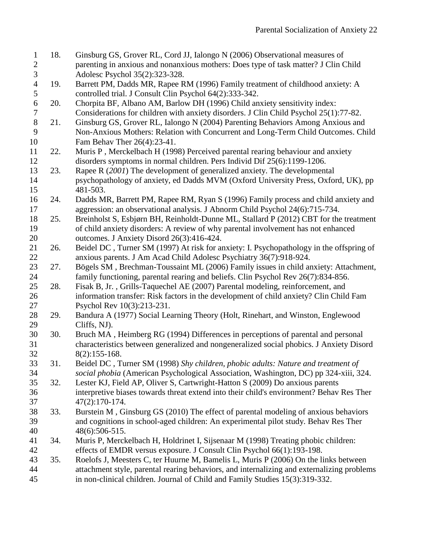<span id="page-21-13"></span><span id="page-21-12"></span><span id="page-21-11"></span><span id="page-21-10"></span><span id="page-21-9"></span><span id="page-21-8"></span><span id="page-21-7"></span><span id="page-21-6"></span><span id="page-21-5"></span><span id="page-21-4"></span><span id="page-21-3"></span><span id="page-21-2"></span><span id="page-21-1"></span><span id="page-21-0"></span>

| $\mathbf{1}$   | 18. | Ginsburg GS, Grover RL, Cord JJ, Ialongo N (2006) Observational measures of                |
|----------------|-----|--------------------------------------------------------------------------------------------|
| $\mathbf{2}$   |     | parenting in anxious and nonanxious mothers: Does type of task matter? J Clin Child        |
| $\mathfrak{Z}$ |     | Adolesc Psychol 35(2):323-328.                                                             |
| $\overline{4}$ | 19. | Barrett PM, Dadds MR, Rapee RM (1996) Family treatment of childhood anxiety: A             |
| 5              |     | controlled trial. J Consult Clin Psychol 64(2):333-342.                                    |
| $\sqrt{6}$     | 20. | Chorpita BF, Albano AM, Barlow DH (1996) Child anxiety sensitivity index:                  |
| $\tau$         |     | Considerations for children with anxiety disorders. J Clin Child Psychol 25(1):77-82.      |
| $8\,$          | 21. | Ginsburg GS, Grover RL, Ialongo N (2004) Parenting Behaviors Among Anxious and             |
| 9              |     | Non-Anxious Mothers: Relation with Concurrent and Long-Term Child Outcomes. Child          |
| 10             |     | Fam Behav Ther 26(4):23-41.                                                                |
| 11             | 22. | Muris P, Merckelbach H (1998) Perceived parental rearing behaviour and anxiety             |
| 12             |     | disorders symptoms in normal children. Pers Individ Dif 25(6):1199-1206.                   |
| 13             | 23. | Rapee R (2001) The development of generalized anxiety. The developmental                   |
| 14             |     | psychopathology of anxiety, ed Dadds MVM (Oxford University Press, Oxford, UK), pp         |
| 15             |     | 481-503.                                                                                   |
| 16             | 24. | Dadds MR, Barrett PM, Rapee RM, Ryan S (1996) Family process and child anxiety and         |
| 17             |     | aggression: an observational analysis. J Abnorm Child Psychol 24(6):715-734.               |
| 18             | 25. | Breinholst S, Esbjørn BH, Reinholdt-Dunne ML, Stallard P (2012) CBT for the treatment      |
| 19             |     | of child anxiety disorders: A review of why parental involvement has not enhanced          |
| 20             |     | outcomes. J Anxiety Disord 26(3):416-424.                                                  |
| 21             | 26. | Beidel DC, Turner SM (1997) At risk for anxiety: I. Psychopathology in the offspring of    |
| 22             |     | anxious parents. J Am Acad Child Adolesc Psychiatry 36(7):918-924.                         |
| 23             | 27. | Bögels SM, Brechman-Toussaint ML (2006) Family issues in child anxiety: Attachment,        |
| 24             |     | family functioning, parental rearing and beliefs. Clin Psychol Rev 26(7):834-856.          |
| 25             | 28. | Fisak B, Jr., Grills-Taquechel AE (2007) Parental modeling, reinforcement, and             |
| 26             |     | information transfer: Risk factors in the development of child anxiety? Clin Child Fam     |
| 27             |     | Psychol Rev 10(3):213-231.                                                                 |
| 28             | 29. | Bandura A (1977) Social Learning Theory (Holt, Rinehart, and Winston, Englewood            |
| 29             |     | Cliffs, NJ).                                                                               |
| 30             | 30. | Bruch MA, Heimberg RG (1994) Differences in perceptions of parental and personal           |
| 31             |     | characteristics between generalized and nongeneralized social phobics. J Anxiety Disord    |
| 32             |     | $8(2):155-168.$                                                                            |
| 33             | 31. | Beidel DC, Turner SM (1998) Shy children, phobic adults: Nature and treatment of           |
| 34             |     | social phobia (American Psychological Association, Washington, DC) pp 324-xiii, 324.       |
| 35             | 32. | Lester KJ, Field AP, Oliver S, Cartwright-Hatton S (2009) Do anxious parents               |
| 36             |     | interpretive biases towards threat extend into their child's environment? Behav Res Ther   |
| 37             |     | 47(2):170-174.                                                                             |
| 38             | 33. | Burstein M, Ginsburg GS (2010) The effect of parental modeling of anxious behaviors        |
| 39             |     | and cognitions in school-aged children: An experimental pilot study. Behav Res Ther        |
| 40             |     | 48(6):506-515.                                                                             |
| 41             | 34. | Muris P, Merckelbach H, Holdrinet I, Sijsenaar M (1998) Treating phobic children:          |
| 42             |     | effects of EMDR versus exposure. J Consult Clin Psychol 66(1):193-198.                     |
| 43             | 35. | Roelofs J, Meesters C, ter Huurne M, Bamelis L, Muris P (2006) On the links between        |
| 44             |     | attachment style, parental rearing behaviors, and internalizing and externalizing problems |
| 45             |     | in non-clinical children. Journal of Child and Family Studies 15(3):319-332.               |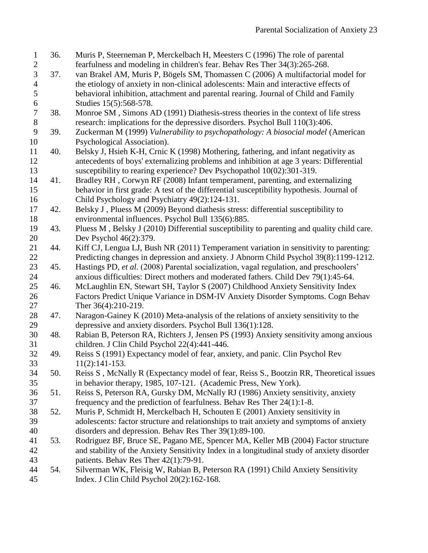<span id="page-22-10"></span><span id="page-22-9"></span><span id="page-22-8"></span><span id="page-22-7"></span><span id="page-22-6"></span><span id="page-22-5"></span><span id="page-22-4"></span><span id="page-22-3"></span><span id="page-22-2"></span><span id="page-22-1"></span><span id="page-22-0"></span>

| $\mathbf{1}$     | 36. | Muris P, Steerneman P, Merckelbach H, Meesters C (1996) The role of parental               |
|------------------|-----|--------------------------------------------------------------------------------------------|
| $\overline{c}$   |     | fearfulness and modeling in children's fear. Behav Res Ther 34(3):265-268.                 |
| $\overline{3}$   | 37. | van Brakel AM, Muris P, Bögels SM, Thomassen C (2006) A multifactorial model for           |
| $\overline{4}$   |     | the etiology of anxiety in non-clinical adolescents: Main and interactive effects of       |
| 5                |     | behavioral inhibition, attachment and parental rearing. Journal of Child and Family        |
| $\boldsymbol{6}$ |     | Studies 15(5):568-578.                                                                     |
| $\overline{7}$   | 38. | Monroe SM, Simons AD (1991) Diathesis-stress theories in the context of life stress        |
| $8\,$            |     | research: implications for the depressive disorders. Psychol Bull 110(3):406.              |
| 9                | 39. | Zuckerman M (1999) Vulnerability to psychopathology: A biosocial model (American           |
| 10               |     | Psychological Association).                                                                |
| 11               | 40. | Belsky J, Hsieh K-H, Crnic K (1998) Mothering, fathering, and infant negativity as         |
| 12               |     | antecedents of boys' externalizing problems and inhibition at age 3 years: Differential    |
| 13               |     | susceptibility to rearing experience? Dev Psychopathol 10(02):301-319.                     |
| 14               | 41. | Bradley RH, Corwyn RF (2008) Infant temperament, parenting, and externalizing              |
| 15               |     | behavior in first grade: A test of the differential susceptibility hypothesis. Journal of  |
| 16               |     | Child Psychology and Psychiatry 49(2):124-131.                                             |
| 17               | 42. | Belsky J, Pluess M (2009) Beyond diathesis stress: differential susceptibility to          |
| 18               |     | environmental influences. Psychol Bull 135(6):885.                                         |
| 19               | 43. | Pluess M, Belsky J (2010) Differential susceptibility to parenting and quality child care. |
| 20               |     | Dev Psychol 46(2):379.                                                                     |
| 21               | 44. | Kiff CJ, Lengua LJ, Bush NR (2011) Temperament variation in sensitivity to parenting:      |
| 22               |     | Predicting changes in depression and anxiety. J Abnorm Child Psychol 39(8):1199-1212.      |
| 23               | 45. | Hastings PD, et al. (2008) Parental socialization, vagal regulation, and preschoolers'     |
| 24               |     | anxious difficulties: Direct mothers and moderated fathers. Child Dev 79(1):45-64.         |
| 25               | 46. | McLaughlin EN, Stewart SH, Taylor S (2007) Childhood Anxiety Sensitivity Index             |
| 26               |     | Factors Predict Unique Variance in DSM-IV Anxiety Disorder Symptoms. Cogn Behav            |
| 27               |     | Ther 36(4):210-219.                                                                        |
| 28               | 47. | Naragon-Gainey K (2010) Meta-analysis of the relations of anxiety sensitivity to the       |
| 29               |     | depressive and anxiety disorders. Psychol Bull 136(1):128.                                 |
| 30               | 48. | Rabian B, Peterson RA, Richters J, Jensen PS (1993) Anxiety sensitivity among anxious      |
| 31               |     | children. J Clin Child Psychol 22(4):441-446.                                              |
| 32               | 49. | Reiss S (1991) Expectancy model of fear, anxiety, and panic. Clin Psychol Rev              |
| 33               |     | $11(2):141-153.$                                                                           |
| 34               | 50. | Reiss S, McNally R (Expectancy model of fear, Reiss S., Bootzin RR, Theoretical issues     |
| 35               |     | in behavior therapy, 1985, 107-121. (Academic Press, New York).                            |
| 36               | 51. | Reiss S, Peterson RA, Gursky DM, McNally RJ (1986) Anxiety sensitivity, anxiety            |
| 37               |     | frequency and the prediction of fearfulness. Behav Res Ther 24(1):1-8.                     |
| 38               | 52. | Muris P, Schmidt H, Merckelbach H, Schouten E (2001) Anxiety sensitivity in                |
| 39               |     | adolescents: factor structure and relationships to trait anxiety and symptoms of anxiety   |
| 40               |     | disorders and depression. Behav Res Ther 39(1):89-100.                                     |
| 41               | 53. | Rodriguez BF, Bruce SE, Pagano ME, Spencer MA, Keller MB (2004) Factor structure           |
| 42               |     | and stability of the Anxiety Sensitivity Index in a longitudinal study of anxiety disorder |
| 43               |     | patients. Behav Res Ther 42(1):79-91.                                                      |
| 44               | 54. | Silverman WK, Fleisig W, Rabian B, Peterson RA (1991) Child Anxiety Sensitivity            |
| 45               |     | Index. J Clin Child Psychol 20(2):162-168.                                                 |
|                  |     |                                                                                            |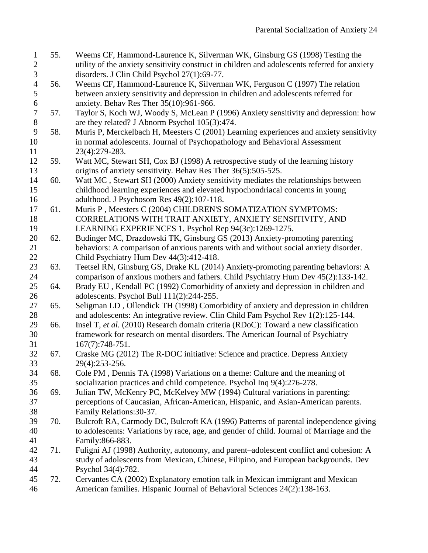- <span id="page-23-0"></span> 55. Weems CF, Hammond-Laurence K, Silverman WK, Ginsburg GS (1998) Testing the utility of the anxiety sensitivity construct in children and adolescents referred for anxiety disorders. J Clin Child Psychol 27(1):69-77.
- <span id="page-23-1"></span> 56. Weems CF, Hammond-Laurence K, Silverman WK, Ferguson C (1997) The relation between anxiety sensitivity and depression in children and adolescents referred for anxiety. Behav Res Ther 35(10):961-966.
- <span id="page-23-2"></span> 57. Taylor S, Koch WJ, Woody S, McLean P (1996) Anxiety sensitivity and depression: how are they related? J Abnorm Psychol 105(3):474.
- <span id="page-23-3"></span> 58. Muris P, Merckelbach H, Meesters C (2001) Learning experiences and anxiety sensitivity in normal adolescents. Journal of Psychopathology and Behavioral Assessment 23(4):279-283.
- <span id="page-23-15"></span> 59. Watt MC, Stewart SH, Cox BJ (1998) A retrospective study of the learning history origins of anxiety sensitivity. Behav Res Ther 36(5):505-525.
- 60. Watt MC , Stewart SH (2000) Anxiety sensitivity mediates the relationships between childhood learning experiences and elevated hypochondriacal concerns in young adulthood. J Psychosom Res 49(2):107-118.
- 61. Muris P , Meesters C (2004) CHILDREN'S SOMATIZATION SYMPTOMS: CORRELATIONS WITH TRAIT ANXIETY, ANXIETY SENSITIVITY, AND LEARNING EXPERIENCES 1. Psychol Rep 94(3c):1269-1275.
- <span id="page-23-4"></span> 62. Budinger MC, Drazdowski TK, Ginsburg GS (2013) Anxiety-promoting parenting behaviors: A comparison of anxious parents with and without social anxiety disorder. 22 Child Psychiatry Hum Dev 44(3):412-418.
- <span id="page-23-5"></span> 63. Teetsel RN, Ginsburg GS, Drake KL (2014) Anxiety-promoting parenting behaviors: A comparison of anxious mothers and fathers. Child Psychiatry Hum Dev 45(2):133-142.
- <span id="page-23-6"></span> 64. Brady EU , Kendall PC (1992) Comorbidity of anxiety and depression in children and adolescents. Psychol Bull 111(2):244-255.
- <span id="page-23-7"></span> 65. Seligman LD , Ollendick TH (1998) Comorbidity of anxiety and depression in children and adolescents: An integrative review. Clin Child Fam Psychol Rev 1(2):125-144.
- <span id="page-23-8"></span> 66. Insel T*, et al.* (2010) Research domain criteria (RDoC): Toward a new classification framework for research on mental disorders. The American Journal of Psychiatry 167(7):748-751.
- <span id="page-23-9"></span> 67. Craske MG (2012) The R-DOC initiative: Science and practice. Depress Anxiety 29(4):253-256.
- <span id="page-23-10"></span> 68. Cole PM , Dennis TA (1998) Variations on a theme: Culture and the meaning of socialization practices and child competence. Psychol Inq 9(4):276-278.
- <span id="page-23-11"></span> 69. Julian TW, McKenry PC, McKelvey MW (1994) Cultural variations in parenting: perceptions of Caucasian, African-American, Hispanic, and Asian-American parents. Family Relations:30-37.
- <span id="page-23-12"></span> 70. Bulcroft RA, Carmody DC, Bulcroft KA (1996) Patterns of parental independence giving to adolescents: Variations by race, age, and gender of child. Journal of Marriage and the Family:866-883.
- <span id="page-23-13"></span> 71. Fuligni AJ (1998) Authority, autonomy, and parent–adolescent conflict and cohesion: A study of adolescents from Mexican, Chinese, Filipino, and European backgrounds. Dev Psychol 34(4):782.
- <span id="page-23-14"></span> 72. Cervantes CA (2002) Explanatory emotion talk in Mexican immigrant and Mexican American families. Hispanic Journal of Behavioral Sciences 24(2):138-163.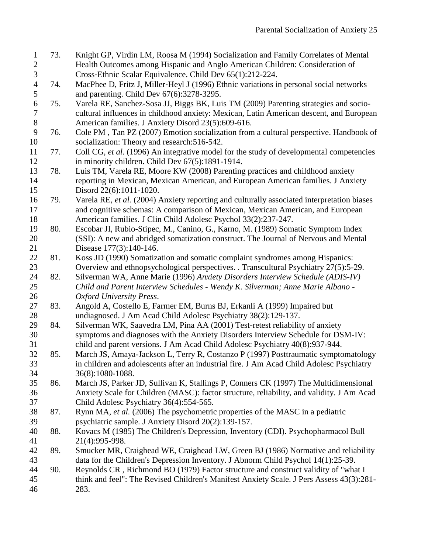- <span id="page-24-0"></span> 73. Knight GP, Virdin LM, Roosa M (1994) Socialization and Family Correlates of Mental Health Outcomes among Hispanic and Anglo American Children: Consideration of Cross‐Ethnic Scalar Equivalence. Child Dev 65(1):212-224.
- <span id="page-24-1"></span> 74. MacPhee D, Fritz J, Miller‐Heyl J (1996) Ethnic variations in personal social networks 5 and parenting. Child Dev 67(6):3278-3295.
- <span id="page-24-2"></span> 75. Varela RE, Sanchez-Sosa JJ, Biggs BK, Luis TM (2009) Parenting strategies and socio- cultural influences in childhood anxiety: Mexican, Latin American descent, and European American families. J Anxiety Disord 23(5):609-616.
- 76. Cole PM , Tan PZ (2007) Emotion socialization from a cultural perspective. Handbook of socialization: Theory and research:516-542.
- 77. Coll CG*, et al.* (1996) An integrative model for the study of developmental competencies in minority children. Child Dev 67(5):1891-1914.
- <span id="page-24-6"></span> 78. Luis TM, Varela RE, Moore KW (2008) Parenting practices and childhood anxiety reporting in Mexican, Mexican American, and European American families. J Anxiety Disord 22(6):1011-1020.
- <span id="page-24-3"></span> 79. Varela RE*, et al.* (2004) Anxiety reporting and culturally associated interpretation biases and cognitive schemas: A comparison of Mexican, Mexican American, and European American families. J Clin Child Adolesc Psychol 33(2):237-247.
- <span id="page-24-4"></span> 80. Escobar JI, Rubio-Stipec, M., Canino, G., Karno, M. (1989) Somatic Symptom Index (SSI): A new and abridged somatization construct. The Journal of Nervous and Mental Disease 177(3):140-146.
- <span id="page-24-5"></span> 81. Koss JD (1990) Somatization and somatic complaint syndromes among Hispanics: Overview and ethnopsychological perspectives. . Transcultural Psychiatry 27(5):5-29.
- <span id="page-24-7"></span> 82. Silverman WA, Anne Marie (1996) *Anxiety Disorders Interview Schedule (ADIS-IV) Child and Parent Interview Schedules - Wendy K. Silverman; Anne Marie Albano - Oxford University Press*.
- <span id="page-24-8"></span> 83. Angold A, Costello E, Farmer EM, Burns BJ, Erkanli A (1999) Impaired but undiagnosed. J Am Acad Child Adolesc Psychiatry 38(2):129-137.
- <span id="page-24-9"></span> 84. Silverman WK, Saavedra LM, Pina AA (2001) Test-retest reliability of anxiety symptoms and diagnoses with the Anxiety Disorders Interview Schedule for DSM-IV: child and parent versions. J Am Acad Child Adolesc Psychiatry 40(8):937-944.
- <span id="page-24-10"></span> 85. March JS, Amaya-Jackson L, Terry R, Costanzo P (1997) Posttraumatic symptomatology in children and adolescents after an industrial fire. J Am Acad Child Adolesc Psychiatry 36(8):1080-1088.
- <span id="page-24-11"></span> 86. March JS, Parker JD, Sullivan K, Stallings P, Conners CK (1997) The Multidimensional Anxiety Scale for Children (MASC): factor structure, reliability, and validity. J Am Acad Child Adolesc Psychiatry 36(4):554-565.
- <span id="page-24-12"></span> 87. Rynn MA*, et al.* (2006) The psychometric properties of the MASC in a pediatric psychiatric sample. J Anxiety Disord 20(2):139-157.
- <span id="page-24-13"></span> 88. Kovacs M (1985) The Children's Depression, Inventory (CDI). Psychopharmacol Bull 21(4):995-998.
- <span id="page-24-14"></span> 89. Smucker MR, Craighead WE, Craighead LW, Green BJ (1986) Normative and reliability data for the Children's Depression Inventory. J Abnorm Child Psychol 14(1):25-39.
- <span id="page-24-15"></span> 90. Reynolds CR , Richmond BO (1979) Factor structure and construct validity of "what I think and feel": The Revised Children's Manifest Anxiety Scale. J Pers Assess 43(3):281-
- 283.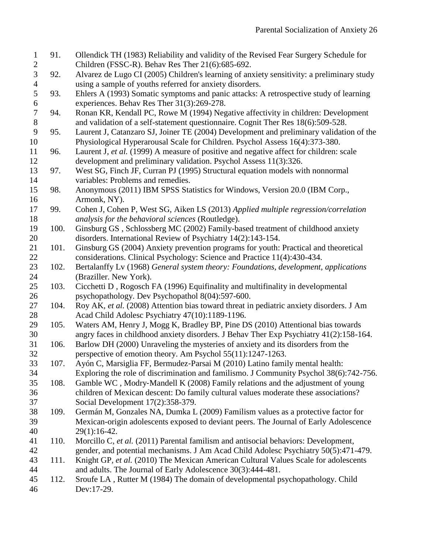<span id="page-25-18"></span><span id="page-25-17"></span><span id="page-25-16"></span><span id="page-25-15"></span><span id="page-25-14"></span><span id="page-25-13"></span><span id="page-25-12"></span><span id="page-25-11"></span><span id="page-25-10"></span><span id="page-25-9"></span><span id="page-25-8"></span><span id="page-25-7"></span><span id="page-25-6"></span><span id="page-25-5"></span><span id="page-25-4"></span><span id="page-25-3"></span><span id="page-25-2"></span><span id="page-25-1"></span><span id="page-25-0"></span>

| $\mathbf{1}$   | 91.  | Ollendick TH (1983) Reliability and validity of the Revised Fear Surgery Schedule for     |
|----------------|------|-------------------------------------------------------------------------------------------|
| $\overline{2}$ |      | Children (FSSC-R). Behav Res Ther 21(6):685-692.                                          |
| $\overline{3}$ | 92.  | Alvarez de Lugo CI (2005) Children's learning of anxiety sensitivity: a preliminary study |
| $\overline{4}$ |      | using a sample of youths referred for anxiety disorders.                                  |
| 5              | 93.  | Ehlers A (1993) Somatic symptoms and panic attacks: A retrospective study of learning     |
| 6              |      | experiences. Behav Res Ther 31(3):269-278.                                                |
| $\tau$         | 94.  | Ronan KR, Kendall PC, Rowe M (1994) Negative affectivity in children: Development         |
| $8\,$          |      | and validation of a self-statement questionnaire. Cognit Ther Res 18(6):509-528.          |
| 9              | 95.  | Laurent J, Catanzaro SJ, Joiner TE (2004) Development and preliminary validation of the   |
| 10             |      | Physiological Hyperarousal Scale for Children. Psychol Assess 16(4):373-380.              |
| 11             | 96.  | Laurent J, et al. (1999) A measure of positive and negative affect for children: scale    |
| 12             |      | development and preliminary validation. Psychol Assess 11(3):326.                         |
| 13             | 97.  | West SG, Finch JF, Curran PJ (1995) Structural equation models with nonnormal             |
| 14             |      | variables: Problems and remedies.                                                         |
| 15             | 98.  | Anonymous (2011) IBM SPSS Statistics for Windows, Version 20.0 (IBM Corp.,                |
| 16             |      | Armonk, NY).                                                                              |
| 17             | 99.  | Cohen J, Cohen P, West SG, Aiken LS (2013) Applied multiple regression/correlation        |
| 18             |      | analysis for the behavioral sciences (Routledge).                                         |
| 19             | 100. | Ginsburg GS, Schlossberg MC (2002) Family-based treatment of childhood anxiety            |
| 20             |      | disorders. International Review of Psychiatry 14(2):143-154.                              |
| 21             | 101. | Ginsburg GS (2004) Anxiety prevention programs for youth: Practical and theoretical       |
| 22             |      | considerations. Clinical Psychology: Science and Practice 11(4):430-434.                  |
| 23             | 102. | Bertalanffy Lv (1968) General system theory: Foundations, development, applications       |
| 24             |      | (Braziller. New York).                                                                    |
| 25             | 103. | Cicchetti D, Rogosch FA (1996) Equifinality and multifinality in developmental            |
| 26             |      | psychopathology. Dev Psychopathol 8(04):597-600.                                          |
| 27             | 104. | Roy AK, et al. (2008) Attention bias toward threat in pediatric anxiety disorders. J Am   |
| 28             |      | Acad Child Adolesc Psychiatry 47(10):1189-1196.                                           |
| 29             | 105. | Waters AM, Henry J, Mogg K, Bradley BP, Pine DS (2010) Attentional bias towards           |
| 30             |      | angry faces in childhood anxiety disorders. J Behav Ther Exp Psychiatry 41(2):158-164.    |
| 31             | 106. | Barlow DH (2000) Unraveling the mysteries of anxiety and its disorders from the           |
| 32             |      | perspective of emotion theory. Am Psychol 55(11):1247-1263.                               |
| 33             | 107. | Ayón C, Marsiglia FF, Bermudez-Parsai M (2010) Latino family mental health:               |
| 34             |      | Exploring the role of discrimination and familismo. J Community Psychol 38(6):742-756.    |
| 35             | 108. | Gamble WC, Modry-Mandell K (2008) Family relations and the adjustment of young            |
| 36             |      | children of Mexican descent: Do family cultural values moderate these associations?       |
| 37             |      | Social Development 17(2):358-379.                                                         |
| 38             | 109. | Germán M, Gonzales NA, Dumka L (2009) Familism values as a protective factor for          |
| 39             |      | Mexican-origin adolescents exposed to deviant peers. The Journal of Early Adolescence     |
| 40             |      | $29(1):16-42.$                                                                            |
| 41             | 110. | Morcillo C, et al. (2011) Parental familism and antisocial behaviors: Development,        |
| 42             |      | gender, and potential mechanisms. J Am Acad Child Adolesc Psychiatry 50(5):471-479.       |
| 43             | 111. | Knight GP, et al. (2010) The Mexican American Cultural Values Scale for adolescents       |
| 44             |      | and adults. The Journal of Early Adolescence 30(3):444-481.                               |
| 45             | 112. | Sroufe LA, Rutter M (1984) The domain of developmental psychopathology. Child             |
| 46             |      | Dev:17-29.                                                                                |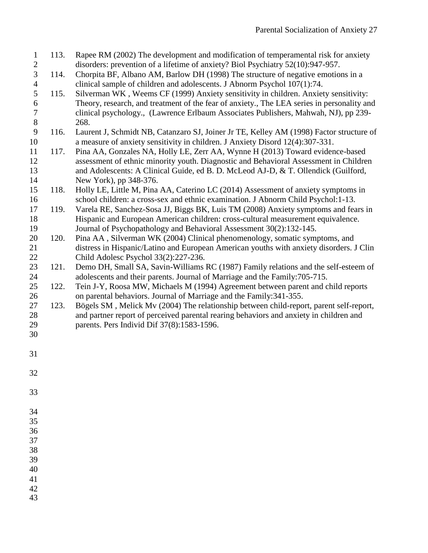<span id="page-26-3"></span><span id="page-26-2"></span><span id="page-26-1"></span><span id="page-26-0"></span>

| $\mathbf{1}$     | 113. | Rapee RM (2002) The development and modification of temperamental risk for anxiety                                                                                     |
|------------------|------|------------------------------------------------------------------------------------------------------------------------------------------------------------------------|
| $\sqrt{2}$<br>3  | 114. | disorders: prevention of a lifetime of anxiety? Biol Psychiatry 52(10):947-957.<br>Chorpita BF, Albano AM, Barlow DH (1998) The structure of negative emotions in a    |
| $\overline{4}$   |      | clinical sample of children and adolescents. J Abnorm Psychol 107(1):74.                                                                                               |
| 5                | 115. | Silverman WK, Weems CF (1999) Anxiety sensitivity in children. Anxiety sensitivity:                                                                                    |
| 6                |      | Theory, research, and treatment of the fear of anxiety., The LEA series in personality and                                                                             |
| $\boldsymbol{7}$ |      | clinical psychology., (Lawrence Erlbaum Associates Publishers, Mahwah, NJ), pp 239-                                                                                    |
| $8\,$            |      | 268.                                                                                                                                                                   |
| 9                | 116. | Laurent J, Schmidt NB, Catanzaro SJ, Joiner Jr TE, Kelley AM (1998) Factor structure of                                                                                |
| 10               |      | a measure of anxiety sensitivity in children. J Anxiety Disord 12(4):307-331.                                                                                          |
| 11               | 117. | Pina AA, Gonzales NA, Holly LE, Zerr AA, Wynne H (2013) Toward evidence-based                                                                                          |
| 12               |      | assessment of ethnic minority youth. Diagnostic and Behavioral Assessment in Children                                                                                  |
| 13               |      | and Adolescents: A Clinical Guide, ed B. D. McLeod AJ-D, & T. Ollendick (Guilford,                                                                                     |
| 14               |      | New York), pp 348-376.                                                                                                                                                 |
| 15               | 118. | Holly LE, Little M, Pina AA, Caterino LC (2014) Assessment of anxiety symptoms in                                                                                      |
| 16               |      | school children: a cross-sex and ethnic examination. J Abnorm Child Psychol: 1-13.                                                                                     |
| 17<br>18         | 119. | Varela RE, Sanchez-Sosa JJ, Biggs BK, Luis TM (2008) Anxiety symptoms and fears in<br>Hispanic and European American children: cross-cultural measurement equivalence. |
| 19               |      | Journal of Psychopathology and Behavioral Assessment 30(2):132-145.                                                                                                    |
| 20               | 120. | Pina AA, Silverman WK (2004) Clinical phenomenology, somatic symptoms, and                                                                                             |
| 21               |      | distress in Hispanic/Latino and European American youths with anxiety disorders. J Clin                                                                                |
| 22               |      | Child Adolesc Psychol 33(2):227-236.                                                                                                                                   |
| 23               | 121. | Demo DH, Small SA, Savin-Williams RC (1987) Family relations and the self-esteem of                                                                                    |
| 24               |      | adolescents and their parents. Journal of Marriage and the Family: 705-715.                                                                                            |
| 25               | 122. | Tein J-Y, Roosa MW, Michaels M (1994) Agreement between parent and child reports                                                                                       |
| 26               |      | on parental behaviors. Journal of Marriage and the Family: 341-355.                                                                                                    |
| 27               | 123. | Bögels SM, Melick Mv (2004) The relationship between child-report, parent self-report,                                                                                 |
| 28               |      | and partner report of perceived parental rearing behaviors and anxiety in children and                                                                                 |
| 29               |      | parents. Pers Individ Dif 37(8):1583-1596.                                                                                                                             |
| 30               |      |                                                                                                                                                                        |
| 31               |      |                                                                                                                                                                        |
| 32               |      |                                                                                                                                                                        |
|                  |      |                                                                                                                                                                        |
| 33               |      |                                                                                                                                                                        |
| 34               |      |                                                                                                                                                                        |
| 35               |      |                                                                                                                                                                        |
| 36               |      |                                                                                                                                                                        |
| 37               |      |                                                                                                                                                                        |

- <span id="page-26-6"></span><span id="page-26-5"></span><span id="page-26-4"></span>
- 
- 
- 
-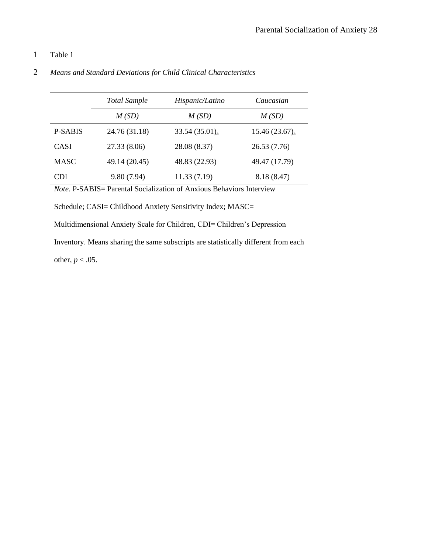# 1 Table 1

|                | <b>Total Sample</b> | Hispanic/Latino             | Caucasian                   |
|----------------|---------------------|-----------------------------|-----------------------------|
|                | M(SD)               | M(SD)                       | M(SD)                       |
| <b>P-SABIS</b> | 24.76 (31.18)       | $33.54(35.01)$ <sub>a</sub> | $15.46(23.67)$ <sub>a</sub> |
| <b>CASI</b>    | 27.33 (8.06)        | 28.08 (8.37)                | 26.53(7.76)                 |
| <b>MASC</b>    | 49.14 (20.45)       | 48.83 (22.93)               | 49.47 (17.79)               |
| CDI            | 9.80(7.94)          | 11.33(7.19)                 | 8.18 (8.47)                 |

# 2 *Means and Standard Deviations for Child Clinical Characteristics*

*Note.* P-SABIS= Parental Socialization of Anxious Behaviors Interview

Schedule; CASI= Childhood Anxiety Sensitivity Index; MASC=

Multidimensional Anxiety Scale for Children, CDI= Children's Depression

Inventory. Means sharing the same subscripts are statistically different from each

other,  $p < .05$ .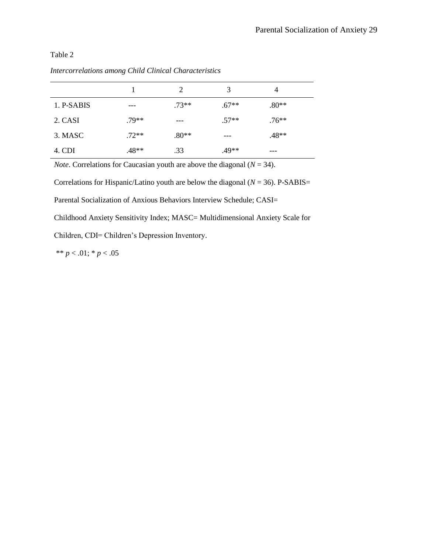Table 2

|            |         | $\mathcal{D}_{\mathcal{A}}$ | 3       | 4       |  |
|------------|---------|-----------------------------|---------|---------|--|
| 1. P-SABIS | ---     | $.73**$                     | $.67**$ | $.80**$ |  |
| 2. CASI    | $.79**$ | ---                         | $.57**$ | $.76**$ |  |
| 3. MASC    | $.72**$ | $.80**$                     | ---     | $.48**$ |  |
| 4. CDI     | .48**   | .33                         | .49**   | ---     |  |

*Intercorrelations among Child Clinical Characteristics*

*Note*. Correlations for Caucasian youth are above the diagonal ( $N = 34$ ).

Correlations for Hispanic/Latino youth are below the diagonal  $(N = 36)$ . P-SABIS= Parental Socialization of Anxious Behaviors Interview Schedule; CASI=

Childhood Anxiety Sensitivity Index; MASC= Multidimensional Anxiety Scale for

Children, CDI= Children's Depression Inventory.

\*\* *p* < .01; \* *p* < .05